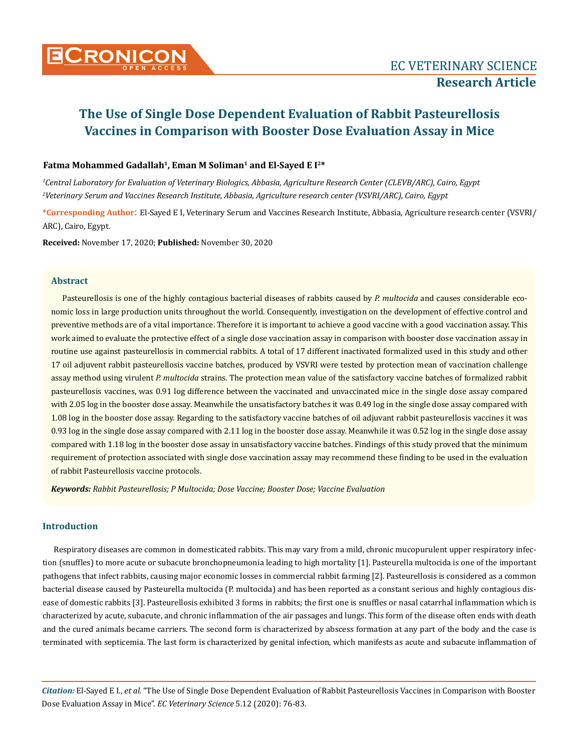

### Fatma Mohammed Gadallah<sup>1</sup>, Eman M Soliman<sup>1</sup> and El-Saved E I<sup>2\*</sup>

*1 Central Laboratory for Evaluation of Veterinary Biologics, Abbasia, Agriculture Research Center (CLEVB/ARC), Cairo, Egypt 2 Veterinary Serum and Vaccines Research Institute, Abbasia, Agriculture research center (VSVRI/ARC), Cairo, Egypt*

**\*Corresponding Author**: El-Sayed E I, Veterinary Serum and Vaccines Research Institute, Abbasia, Agriculture research center (VSVRI/ ARC), Cairo, Egypt.

**Received:** November 17, 2020; **Published:** November 30, 2020

### **Abstract**

Pasteurellosis is one of the highly contagious bacterial diseases of rabbits caused by *P. multocida* and causes considerable economic loss in large production units throughout the world. Consequently, investigation on the development of effective control and preventive methods are of a vital importance. Therefore it is important to achieve a good vaccine with a good vaccination assay. This work aimed to evaluate the protective effect of a single dose vaccination assay in comparison with booster dose vaccination assay in routine use against pasteurellosis in commercial rabbits. A total of 17 different inactivated formalized used in this study and other 17 oil adjuvent rabbit pasteurellosis vaccine batches, produced by VSVRI were tested by protection mean of vaccination challenge assay method using virulent *P. multocida* strains. The protection mean value of the satisfactory vaccine batches of formalized rabbit pasteurellosis vaccines, was 0.91 log difference between the vaccinated and unvaccinated mice in the single dose assay compared with 2.05 log in the booster dose assay. Meanwhile the unsatisfactory batches it was 0.49 log in the single dose assay compared with 1.08 log in the booster dose assay. Regarding to the satisfactory vaccine batches of oil adjuvant rabbit pasteurellosis vaccines it was 0.93 log in the single dose assay compared with 2.11 log in the booster dose assay. Meanwhile it was 0.52 log in the single dose assay compared with 1.18 log in the booster dose assay in unsatisfactory vaccine batches. Findings of this study proved that the minimum requirement of protection associated with single dose vaccination assay may recommend these finding to be used in the evaluation of rabbit Pasteurellosis vaccine protocols.

*Keywords: Rabbit Pasteurellosis; P Multocida; Dose Vaccine; Booster Dose; Vaccine Evaluation*

### **Introduction**

Respiratory diseases are common in domesticated rabbits. This may vary from a mild, chronic mucopurulent upper respiratory infection (snuffles) to more acute or subacute bronchopneumonia leading to high mortality [1]. Pasteurella multocida is one of the important pathogens that infect rabbits, causing major economic losses in commercial rabbit farming [2]. Pasteurellosis is considered as a common bacterial disease caused by Pasteurella multocida (P. multocida) and has been reported as a constant serious and highly contagious disease of domestic rabbits [3]. Pasteurellosis exhibited 3 forms in rabbits; the first one is snuffles or nasal catarrhal inflammation which is characterized by acute, subacute, and chronic inflammation of the air passages and lungs. This form of the disease often ends with death and the cured animals became carriers. The second form is characterized by abscess formation at any part of the body and the case is terminated with septicemia. The last form is characterized by genital infection, which manifests as acute and subacute inflammation of

*Citation:* El-Sayed E I., *et al.* "The Use of Single Dose Dependent Evaluation of Rabbit Pasteurellosis Vaccines in Comparison with Booster Dose Evaluation Assay in Mice". *EC Veterinary Science* 5.12 (2020): 76-83.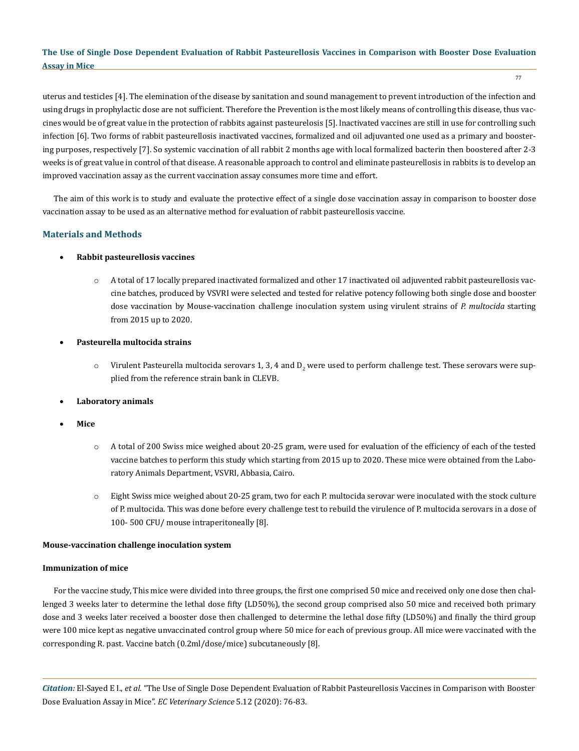uterus and testicles [4]. The elemination of the disease by sanitation and sound management to prevent introduction of the infection and using drugs in prophylactic dose are not sufficient. Therefore the Prevention is the most likely means of controlling this disease, thus vaccines would be of great value in the protection of rabbits against pasteurelosis [5]. lnactivated vaccines are still in use for controlling such infection [6]. Two forms of rabbit pasteurellosis inactivated vaccines, formalized and oil adjuvanted one used as a primary and boostering purposes, respectively [7]. So systemic vaccination of all rabbit 2 months age with local formalized bacterin then boostered after 2-3 weeks is of great value in control of that disease. A reasonable approach to control and eliminate pasteurellosis in rabbits is to develop an improved vaccination assay as the current vaccination assay consumes more time and effort.

The aim of this work is to study and evaluate the protective effect of a single dose vaccination assay in comparison to booster dose vaccination assay to be used as an alternative method for evaluation of rabbit pasteurellosis vaccine.

## **Materials and Methods**

### **Rabbit pasteurellosis vaccines**

- o A total of 17 locally prepared inactivated formalized and other 17 inactivated oil adjuvented rabbit pasteurellosis vaccine batches, produced by VSVRI were selected and tested for relative potency following both single dose and booster dose vaccination by Mouse-vaccination challenge inoculation system using virulent strains of *P. multocida* starting from 2015 up to 2020.
- • **Pasteurella multocida strains**
	- $\circ$  Virulent Pasteurella multocida serovars 1, 3, 4 and D $_2$  were used to perform challenge test. These serovars were supplied from the reference strain bank in CLEVB.
- **Laboratory animals**
- • **Mice**
	- o A total of 200 Swiss mice weighed about 20-25 gram, were used for evaluation of the efficiency of each of the tested vaccine batches to perform this study which starting from 2015 up to 2020. These mice were obtained from the Laboratory Animals Department, VSVRI, Abbasia, Cairo.
	- o Eight Swiss mice weighed about 20-25 gram, two for each P. multocida serovar were inoculated with the stock culture of P. multocida. This was done before every challenge test to rebuild the virulence of P. multocida serovars in a dose of 100- 500 CFU/ mouse intraperitoneally [8].

### **Mouse-vaccination challenge inoculation system**

### **Immunization of mice**

For the vaccine study, This mice were divided into three groups, the first one comprised 50 mice and received only one dose then challenged 3 weeks later to determine the lethal dose fifty (LD50%), the second group comprised also 50 mice and received both primary dose and 3 weeks later received a booster dose then challenged to determine the lethal dose fifty (LD50%) and finally the third group were 100 mice kept as negative unvaccinated control group where 50 mice for each of previous group. All mice were vaccinated with the corresponding R. past. Vaccine batch (0.2ml/dose/mice) subcutaneously [8].

*Citation:* El-Sayed E I., *et al.* "The Use of Single Dose Dependent Evaluation of Rabbit Pasteurellosis Vaccines in Comparison with Booster Dose Evaluation Assay in Mice". *EC Veterinary Science* 5.12 (2020): 76-83.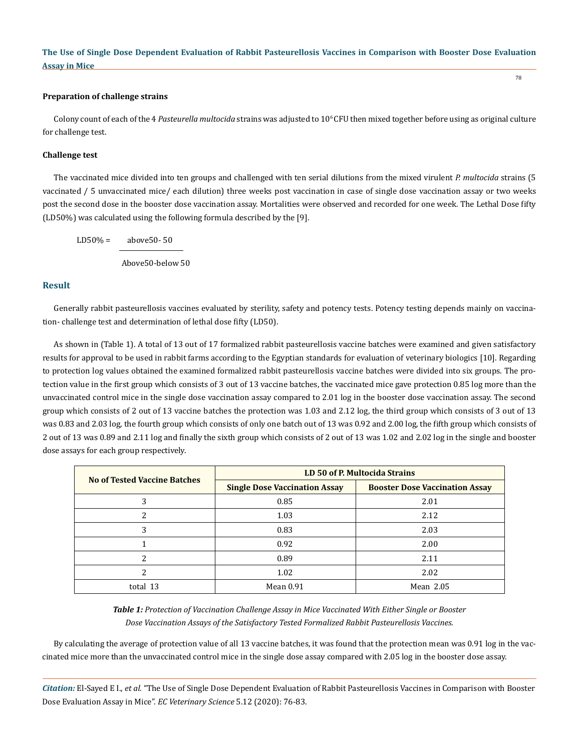#### **Preparation of challenge strains**

Colony count of each of the 4 *Pasteurella multocida* strains was adjusted to 10<sup>6</sup> CFU then mixed together before using as original culture for challenge test.

#### **Challenge test**

The vaccinated mice divided into ten groups and challenged with ten serial dilutions from the mixed virulent *P. multocida* strains (5 vaccinated / 5 unvaccinated mice/ each dilution) three weeks post vaccination in case of single dose vaccination assay or two weeks post the second dose in the booster dose vaccination assay. Mortalities were observed and recorded for one week. The Lethal Dose fifty (LD50%) was calculated using the following formula described by the [9].

 $LD50\% = \text{above}50 - 50$ 

Above50-below 50

### **Result**

Generally rabbit pasteurellosis vaccines evaluated by sterility, safety and potency tests. Potency testing depends mainly on vaccination- challenge test and determination of lethal dose fifty (LD50).

As shown in (Table 1). A total of 13 out of 17 formalized rabbit pasteurellosis vaccine batches were examined and given satisfactory results for approval to be used in rabbit farms according to the Egyptian standards for evaluation of veterinary biologics [10]. Regarding to protection log values obtained the examined formalized rabbit pasteurellosis vaccine batches were divided into six groups. The protection value in the first group which consists of 3 out of 13 vaccine batches, the vaccinated mice gave protection 0.85 log more than the unvaccinated control mice in the single dose vaccination assay compared to 2.01 log in the booster dose vaccination assay. The second group which consists of 2 out of 13 vaccine batches the protection was 1.03 and 2.12 log, the third group which consists of 3 out of 13 was 0.83 and 2.03 log, the fourth group which consists of only one batch out of 13 was 0.92 and 2.00 log, the fifth group which consists of 2 out of 13 was 0.89 and 2.11 log and finally the sixth group which consists of 2 out of 13 was 1.02 and 2.02 log in the single and booster dose assays for each group respectively.

| <b>No of Tested Vaccine Batches</b> | LD 50 of P. Multocida Strains        |                                       |
|-------------------------------------|--------------------------------------|---------------------------------------|
|                                     | <b>Single Dose Vaccination Assay</b> | <b>Booster Dose Vaccination Assay</b> |
|                                     | 0.85                                 | 2.01                                  |
| າ                                   | 1.03                                 | 2.12                                  |
| 3                                   | 0.83                                 | 2.03                                  |
|                                     | 0.92                                 | 2.00                                  |
|                                     | 0.89                                 | 2.11                                  |
|                                     | 1.02                                 | 2.02                                  |
| total 13                            | Mean 0.91                            | Mean 2.05                             |

*Table 1: Protection of Vaccination Challenge Assay in Mice Vaccinated With Either Single or Booster Dose Vaccination Assays of the Satisfactory Tested Formalized Rabbit Pasteurellosis Vaccines.*

By calculating the average of protection value of all 13 vaccine batches, it was found that the protection mean was 0.91 log in the vaccinated mice more than the unvaccinated control mice in the single dose assay compared with 2.05 log in the booster dose assay.

*Citation:* El-Sayed E I., *et al.* "The Use of Single Dose Dependent Evaluation of Rabbit Pasteurellosis Vaccines in Comparison with Booster Dose Evaluation Assay in Mice". *EC Veterinary Science* 5.12 (2020): 76-83.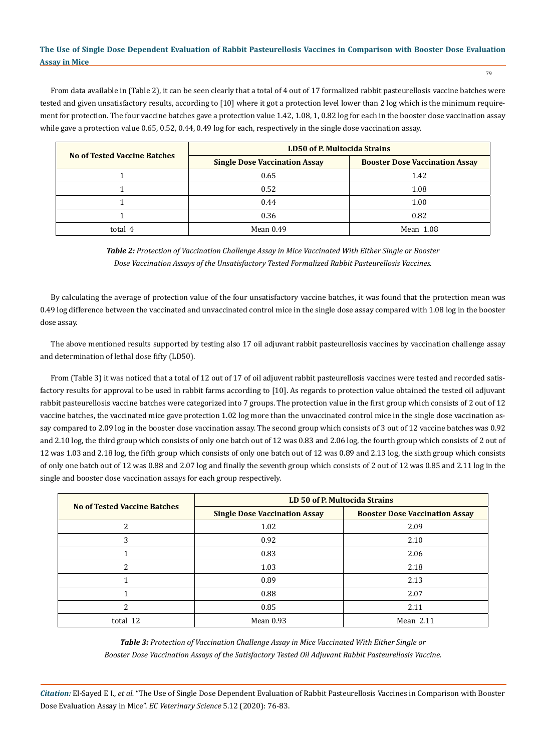From data available in (Table 2), it can be seen clearly that a total of 4 out of 17 formalized rabbit pasteurellosis vaccine batches were tested and given unsatisfactory results, according to [10] where it got a protection level lower than 2 log which is the minimum requirement for protection. The four vaccine batches gave a protection value 1.42, 1.08, 1, 0.82 log for each in the booster dose vaccination assay while gave a protection value 0.65, 0.52, 0.44, 0.49 log for each, respectively in the single dose vaccination assay.

| <b>No of Tested Vaccine Batches</b> | <b>LD50 of P. Multocida Strains</b>  |                                       |
|-------------------------------------|--------------------------------------|---------------------------------------|
|                                     | <b>Single Dose Vaccination Assay</b> | <b>Booster Dose Vaccination Assay</b> |
|                                     | 0.65                                 | 1.42                                  |
|                                     | 0.52                                 | 1.08                                  |
|                                     | 0.44                                 | 1.00                                  |
|                                     | 0.36                                 | 0.82                                  |
| total 4                             | Mean 0.49                            | Mean 1.08                             |

*Table 2: Protection of Vaccination Challenge Assay in Mice Vaccinated With Either Single or Booster Dose Vaccination Assays of the Unsatisfactory Tested Formalized Rabbit Pasteurellosis Vaccines.*

By calculating the average of protection value of the four unsatisfactory vaccine batches, it was found that the protection mean was 0.49 log difference between the vaccinated and unvaccinated control mice in the single dose assay compared with 1.08 log in the booster dose assay.

The above mentioned results supported by testing also 17 oil adjuvant rabbit pasteurellosis vaccines by vaccination challenge assay and determination of lethal dose fifty (LD50).

From (Table 3) it was noticed that a total of 12 out of 17 of oil adjuvent rabbit pasteurellosis vaccines were tested and recorded satisfactory results for approval to be used in rabbit farms according to [10]. As regards to protection value obtained the tested oil adjuvant rabbit pasteurellosis vaccine batches were categorized into 7 groups. The protection value in the first group which consists of 2 out of 12 vaccine batches, the vaccinated mice gave protection 1.02 log more than the unvaccinated control mice in the single dose vaccination assay compared to 2.09 log in the booster dose vaccination assay. The second group which consists of 3 out of 12 vaccine batches was 0.92 and 2.10 log, the third group which consists of only one batch out of 12 was 0.83 and 2.06 log, the fourth group which consists of 2 out of 12 was 1.03 and 2.18 log, the fifth group which consists of only one batch out of 12 was 0.89 and 2.13 log, the sixth group which consists of only one batch out of 12 was 0.88 and 2.07 log and finally the seventh group which consists of 2 out of 12 was 0.85 and 2.11 log in the single and booster dose vaccination assays for each group respectively.

| <b>No of Tested Vaccine Batches</b> | LD 50 of P. Multocida Strains        |                                       |
|-------------------------------------|--------------------------------------|---------------------------------------|
|                                     | <b>Single Dose Vaccination Assay</b> | <b>Booster Dose Vaccination Assay</b> |
| 2                                   | 1.02                                 | 2.09                                  |
| 3                                   | 0.92                                 | 2.10                                  |
|                                     | 0.83                                 | 2.06                                  |
| $\mathcal{P}$                       | 1.03                                 | 2.18                                  |
|                                     | 0.89                                 | 2.13                                  |
|                                     | 0.88                                 | 2.07                                  |
| $\overline{\mathcal{L}}$            | 0.85                                 | 2.11                                  |
| total 12                            | Mean 0.93                            | Mean $2.11$                           |

*Table 3: Protection of Vaccination Challenge Assay in Mice Vaccinated With Either Single or Booster Dose Vaccination Assays of the Satisfactory Tested Oil Adjuvant Rabbit Pasteurellosis Vaccine.*

*Citation:* El-Sayed E I., *et al.* "The Use of Single Dose Dependent Evaluation of Rabbit Pasteurellosis Vaccines in Comparison with Booster Dose Evaluation Assay in Mice". *EC Veterinary Science* 5.12 (2020): 76-83.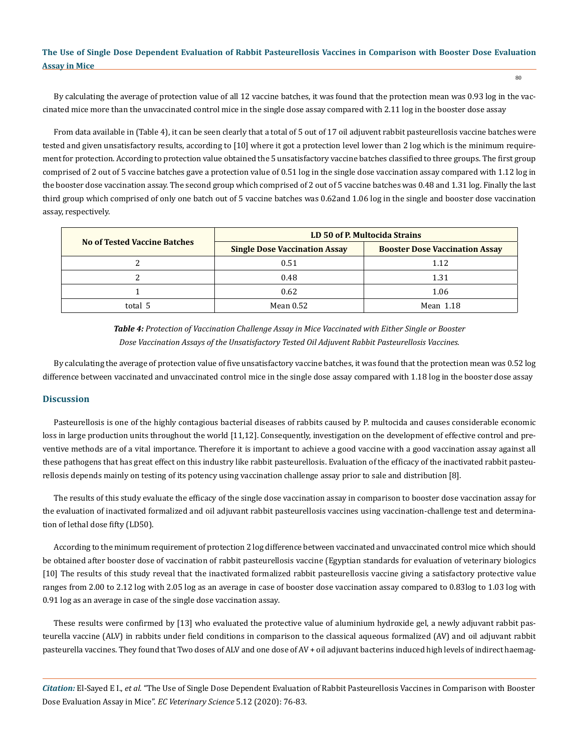By calculating the average of protection value of all 12 vaccine batches, it was found that the protection mean was 0.93 log in the vaccinated mice more than the unvaccinated control mice in the single dose assay compared with 2.11 log in the booster dose assay

From data available in (Table 4), it can be seen clearly that a total of 5 out of 17 oil adjuvent rabbit pasteurellosis vaccine batches were tested and given unsatisfactory results, according to [10] where it got a protection level lower than 2 log which is the minimum requirement for protection. According to protection value obtained the 5 unsatisfactory vaccine batches classified to three groups. The first group comprised of 2 out of 5 vaccine batches gave a protection value of 0.51 log in the single dose vaccination assay compared with 1.12 log in the booster dose vaccination assay. The second group which comprised of 2 out of 5 vaccine batches was 0.48 and 1.31 log. Finally the last third group which comprised of only one batch out of 5 vaccine batches was 0.62and 1.06 log in the single and booster dose vaccination assay, respectively.

| <b>No of Tested Vaccine Batches</b> | LD 50 of P. Multocida Strains        |                                       |
|-------------------------------------|--------------------------------------|---------------------------------------|
|                                     | <b>Single Dose Vaccination Assay</b> | <b>Booster Dose Vaccination Assay</b> |
|                                     | 0.51                                 | 1.12                                  |
|                                     | 0.48                                 | 1.31                                  |
|                                     | 0.62                                 | 1.06                                  |
| total 5                             | Mean $0.52$                          | Mean 1.18                             |

*Table 4: Protection of Vaccination Challenge Assay in Mice Vaccinated with Either Single or Booster Dose Vaccination Assays of the Unsatisfactory Tested Oil Adjuvent Rabbit Pasteurellosis Vaccines.*

By calculating the average of protection value of five unsatisfactory vaccine batches, it was found that the protection mean was 0.52 log difference between vaccinated and unvaccinated control mice in the single dose assay compared with 1.18 log in the booster dose assay

### **Discussion**

Pasteurellosis is one of the highly contagious bacterial diseases of rabbits caused by P. multocida and causes considerable economic loss in large production units throughout the world [11,12]. Consequently, investigation on the development of effective control and preventive methods are of a vital importance. Therefore it is important to achieve a good vaccine with a good vaccination assay against all these pathogens that has great effect on this industry like rabbit pasteurellosis. Evaluation of the efficacy of the inactivated rabbit pasteurellosis depends mainly on testing of its potency using vaccination challenge assay prior to sale and distribution [8].

The results of this study evaluate the efficacy of the single dose vaccination assay in comparison to booster dose vaccination assay for the evaluation of inactivated formalized and oil adjuvant rabbit pasteurellosis vaccines using vaccination-challenge test and determination of lethal dose fifty (LD50).

According to the minimum requirement of protection 2 log difference between vaccinated and unvaccinated control mice which should be obtained after booster dose of vaccination of rabbit pasteurellosis vaccine (Egyptian standards for evaluation of veterinary biologics [10] The results of this study reveal that the inactivated formalized rabbit pasteurellosis vaccine giving a satisfactory protective value ranges from 2.00 to 2.12 log with 2.05 log as an average in case of booster dose vaccination assay compared to 0.83log to 1.03 log with 0.91 log as an average in case of the single dose vaccination assay.

These results were confirmed by [13] who evaluated the protective value of aluminium hydroxide gel, a newly adjuvant rabbit pasteurella vaccine (ALV) in rabbits under field conditions in comparison to the classical aqueous formalized (AV) and oil adjuvant rabbit pasteurella vaccines. They found that Two doses of ALV and one dose of AV + oil adjuvant bacterins induced high levels of indirect haemag-

*Citation:* El-Sayed E I., *et al.* "The Use of Single Dose Dependent Evaluation of Rabbit Pasteurellosis Vaccines in Comparison with Booster Dose Evaluation Assay in Mice". *EC Veterinary Science* 5.12 (2020): 76-83.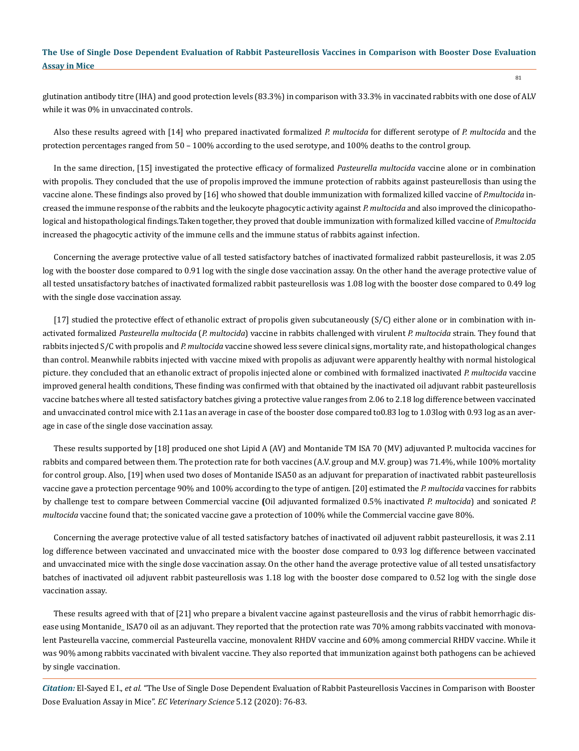glutination antibody titre (IHA) and good protection levels (83.3%) in comparison with 33.3% in vaccinated rabbits with one dose of ALV while it was 0% in unvaccinated controls.

Also these results agreed with [14] who prepared inactivated formalized *P. multocida* for different serotype of *P. multocida* and the protection percentages ranged from 50 – 100% according to the used serotype, and 100% deaths to the control group.

In the same direction, [15] investigated the protective efficacy of formalized *Pasteurella multocida* vaccine alone or in combination with propolis. They concluded that the use of propolis improved the immune protection of rabbits against pasteurellosis than using the vaccine alone. These findings also proved by [16] who showed that double immunization with formalized killed vaccine of *P.multocida* increased the immune response of the rabbits and the leukocyte phagocytic activity against *P. multocida* and also improved the clinicopathological and histopathological findings.Taken together, they proved that double immunization with formalized killed vaccine of *P.multocida*  increased the phagocytic activity of the immune cells and the immune status of rabbits against infection.

Concerning the average protective value of all tested satisfactory batches of inactivated formalized rabbit pasteurellosis, it was 2.05 log with the booster dose compared to 0.91 log with the single dose vaccination assay. On the other hand the average protective value of all tested unsatisfactory batches of inactivated formalized rabbit pasteurellosis was 1.08 log with the booster dose compared to 0.49 log with the single dose vaccination assay.

[17] studied the protective effect of ethanolic extract of propolis given subcutaneously (S/C) either alone or in combination with inactivated formalized *Pasteurella multocida* (*P. multocida*) vaccine in rabbits challenged with virulent *P. multocida* strain. They found that rabbits injected S/C with propolis and *P. multocida* vaccine showed less severe clinical signs, mortality rate, and histopathological changes than control. Meanwhile rabbits injected with vaccine mixed with propolis as adjuvant were apparently healthy with normal histological picture. they concluded that an ethanolic extract of propolis injected alone or combined with formalized inactivated *P. multocida* vaccine improved general health conditions, These finding was confirmed with that obtained by the inactivated oil adjuvant rabbit pasteurellosis vaccine batches where all tested satisfactory batches giving a protective value ranges from 2.06 to 2.18 log difference between vaccinated and unvaccinated control mice with 2.11as an average in case of the booster dose compared to0.83 log to 1.03log with 0.93 log as an average in case of the single dose vaccination assay.

These results supported by [18] produced one shot Lipid A (AV) and Montanide TM ISA 70 (MV) adjuvanted P. multocida vaccines for rabbits and compared between them. The protection rate for both vaccines (A.V. group and M.V. group) was 71.4%, while 100% mortality for control group. Also, [19] when used two doses of Montanide ISA50 as an adjuvant for preparation of inactivated rabbit pasteurellosis vaccine gave a protection percentage 90% and 100% according to the type of antigen. [20] estimated the *P. multocida* vaccines for rabbits by challenge test to compare between Commercial vaccine **(**Oil adjuvanted formalized 0.5% inactivated *P. multocida*) and sonicated *P. multocida* vaccine found that; the sonicated vaccine gave a protection of 100% while the Commercial vaccine gave 80%.

Concerning the average protective value of all tested satisfactory batches of inactivated oil adjuvent rabbit pasteurellosis, it was 2.11 log difference between vaccinated and unvaccinated mice with the booster dose compared to 0.93 log difference between vaccinated and unvaccinated mice with the single dose vaccination assay. On the other hand the average protective value of all tested unsatisfactory batches of inactivated oil adjuvent rabbit pasteurellosis was 1.18 log with the booster dose compared to 0.52 log with the single dose vaccination assay.

These results agreed with that of [21] who prepare a bivalent vaccine against pasteurellosis and the virus of rabbit hemorrhagic disease using Montanide\_ ISA70 oil as an adjuvant. They reported that the protection rate was 70% among rabbits vaccinated with monovalent Pasteurella vaccine, commercial Pasteurella vaccine, monovalent RHDV vaccine and 60% among commercial RHDV vaccine. While it was 90% among rabbits vaccinated with bivalent vaccine. They also reported that immunization against both pathogens can be achieved by single vaccination.

*Citation:* El-Sayed E I., *et al.* "The Use of Single Dose Dependent Evaluation of Rabbit Pasteurellosis Vaccines in Comparison with Booster Dose Evaluation Assay in Mice". *EC Veterinary Science* 5.12 (2020): 76-83.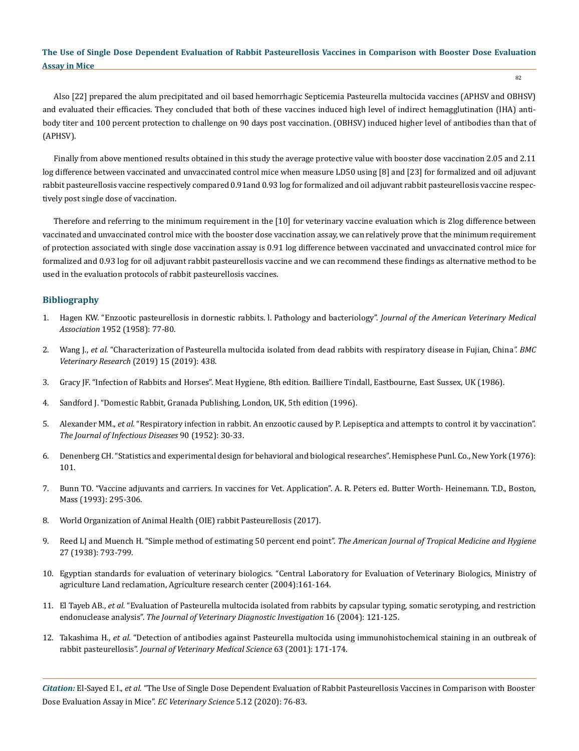82

Also [22] prepared the alum precipitated and oil based hemorrhagic Septicemia Pasteurella multocida vaccines (APHSV and OBHSV) and evaluated their efficacies. They concluded that both of these vaccines induced high level of indirect hemagglutination (IHA) antibody titer and 100 percent protection to challenge on 90 days post vaccination. (OBHSV) induced higher level of antibodies than that of (APHSV).

Finally from above mentioned results obtained in this study the average protective value with booster dose vaccination 2.05 and 2.11 log difference between vaccinated and unvaccinated control mice when measure LD50 using [8] and [23] for formalized and oil adjuvant rabbit pasteurellosis vaccine respectively compared 0.91and 0.93 log for formalized and oil adjuvant rabbit pasteurellosis vaccine respectively post single dose of vaccination.

Therefore and referring to the minimum requirement in the [10] for veterinary vaccine evaluation which is 2log difference between vaccinated and unvaccinated control mice with the booster dose vaccination assay, we can relatively prove that the minimum requirement of protection associated with single dose vaccination assay is 0.91 log difference between vaccinated and unvaccinated control mice for formalized and 0.93 log for oil adjuvant rabbit pasteurellosis vaccine and we can recommend these findings as alternative method to be used in the evaluation protocols of rabbit pasteurellosis vaccines.

## **Bibliography**

- 1. [Hagen KW. "Enzootic pasteurellosis in dornestic rabbits. l. Pathology and bacteriology".](https://pubmed.ncbi.nlm.nih.gov/13549336/) *Journal of the American Veterinary Medical Association* [1952 \(1958\): 77-80.](https://pubmed.ncbi.nlm.nih.gov/13549336/)
- 2. Wang J., *et al.* ["Characterization of Pasteurella multocida isolated from dead rabbits with respiratory disease in Fujian, China](https://bmcvetres.biomedcentral.com/articles/10.1186/s12917-019-2191-3)*". BMC [Veterinary Research](https://bmcvetres.biomedcentral.com/articles/10.1186/s12917-019-2191-3)* (2019) 15 (2019): 438.
- 3. Gracy JF. "Infection of Rabbits and Horses". Meat Hygiene, 8th edition. Bailliere Tindall, Eastbourne, East Sussex, UK (1986).
- 4. Sandford J. "Domestic Rabbit, Granada Publishing, London, UK, 5th edition (1996).
- 5. Alexander MM., *et al.* ["Respiratory infection in rabbit. An enzootic caused by P. Lepiseptica and attempts to control it by vaccination".](https://pubmed.ncbi.nlm.nih.gov/14888962/)  *[The Journal of Infectious Diseases](https://pubmed.ncbi.nlm.nih.gov/14888962/)* 90 (1952): 30-33.
- 6. Denenberg CH. "Statistics and experimental design for behavioral and biological researches". Hemisphese Punl. Co., New York (1976): 101.
- 7. Bunn TO. "Vaccine adjuvants and carriers. In vaccines for Vet. Application". A. R. Peters ed. Butter Worth- Heinemann. T.D., Boston, Mass (1993): 295-306.
- 8. [World Organization of Animal Health \(OIE\) rabbit Pasteurellosis \(2017\).](https://www.oie.int/doc/ged/d12009.pdf)
- 9. [Reed LJ and Muench H. "Simple method of estimating 50 percent end point".](https://academic.oup.com/aje/article-abstract/27/3/493/99616) *The American Journal of Tropical Medicine and Hygiene*  [27 \(1938\): 793-799.](https://academic.oup.com/aje/article-abstract/27/3/493/99616)
- 10. [Egyptian standards for evaluation of veterinary biologics. "Central Laboratory for Evaluation of Veterinary Biologics, Ministry of](http://www.arc.sci.eg/instslabs/Default.aspx?OrgID=26&lang=en)  [agriculture Land reclamation, Agriculture research center \(2004\):161-164.](http://www.arc.sci.eg/instslabs/Default.aspx?OrgID=26&lang=en)
- 11. El Tayeb AB., *et al.* ["Evaluation of Pasteurella multocida isolated from rabbits by capsular typing, somatic serotyping, and restriction](https://pubmed.ncbi.nlm.nih.gov/15053362/)  endonuclease analysis". *[The Journal of Veterinary Diagnostic Investigation](https://pubmed.ncbi.nlm.nih.gov/15053362/)* 16 (2004): 121-125.
- 12. Takashima H., *et al.* ["Detection of antibodies against Pasteurella multocida using immunohistochemical staining in an outbreak of](https://pubmed.ncbi.nlm.nih.gov/11258454/)  rabbit pasteurellosis". *[Journal of Veterinary Medical Science](https://pubmed.ncbi.nlm.nih.gov/11258454/)* 63 (2001): 171-174.

*Citation:* El-Sayed E I., *et al.* "The Use of Single Dose Dependent Evaluation of Rabbit Pasteurellosis Vaccines in Comparison with Booster Dose Evaluation Assay in Mice". *EC Veterinary Science* 5.12 (2020): 76-83.